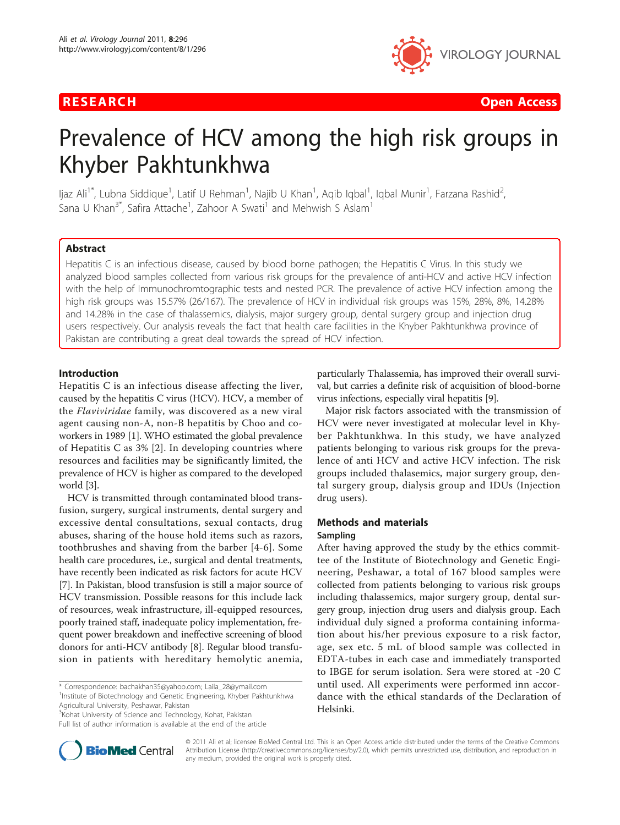

**RESEARCH Open Access Contract Contract Contract Contract Contract Contract Contract Contract Contract Contract Contract Contract Contract Contract Contract Contract Contract Contract Contract Contract Contract Contract** 

# Prevalence of HCV among the high risk groups in Khyber Pakhtunkhwa

ljaz Ali<sup>1\*</sup>, Lubna Siddique<sup>1</sup>, Latif U Rehman<sup>1</sup>, Najib U Khan<sup>1</sup>, Aqib Iqbal<sup>1</sup>, Iqbal Munir<sup>1</sup>, Farzana Rashid<sup>2</sup> , Sana U Khan $^{3^\ast}$ , Safira Attache<sup>1</sup>, Zahoor A Swati<sup>1</sup> and Mehwish S Aslam<sup>1</sup>

# Abstract

Hepatitis C is an infectious disease, caused by blood borne pathogen; the Hepatitis C Virus. In this study we analyzed blood samples collected from various risk groups for the prevalence of anti-HCV and active HCV infection with the help of Immunochromtographic tests and nested PCR. The prevalence of active HCV infection among the high risk groups was 15.57% (26/167). The prevalence of HCV in individual risk groups was 15%, 28%, 8%, 14.28% and 14.28% in the case of thalassemics, dialysis, major surgery group, dental surgery group and injection drug users respectively. Our analysis reveals the fact that health care facilities in the Khyber Pakhtunkhwa province of Pakistan are contributing a great deal towards the spread of HCV infection.

# Introduction

Hepatitis C is an infectious disease affecting the liver, caused by the hepatitis C virus (HCV). HCV, a member of the Flaviviridae family, was discovered as a new viral agent causing non-A, non-B hepatitis by Choo and coworkers in 1989 [\[1\]](#page-3-0). WHO estimated the global prevalence of Hepatitis C as 3% [[2\]](#page-3-0). In developing countries where resources and facilities may be significantly limited, the prevalence of HCV is higher as compared to the developed world [\[3](#page-3-0)].

HCV is transmitted through contaminated blood transfusion, surgery, surgical instruments, dental surgery and excessive dental consultations, sexual contacts, drug abuses, sharing of the house hold items such as razors, toothbrushes and shaving from the barber [\[4-6](#page-3-0)]. Some health care procedures, i.e., surgical and dental treatments, have recently been indicated as risk factors for acute HCV [[7\]](#page-3-0). In Pakistan, blood transfusion is still a major source of HCV transmission. Possible reasons for this include lack of resources, weak infrastructure, ill-equipped resources, poorly trained staff, inadequate policy implementation, frequent power breakdown and ineffective screening of blood donors for anti-HCV antibody [[8\]](#page-3-0). Regular blood transfusion in patients with hereditary hemolytic anemia,

\* Correspondence: [bachakhan35@yahoo.com;](mailto:bachakhan35@yahoo.com) [Laila\\_28@ymail.com](mailto:Laila_28@ymail.com) <sup>1</sup>Institute of Biotechnology and Genetic Engineering, Khyber Pakhtunkhwa Agricultural University, Peshawar, Pakistan

<sup>3</sup>Kohat University of Science and Technology, Kohat, Pakistan

Full list of author information is available at the end of the article



Major risk factors associated with the transmission of HCV were never investigated at molecular level in Khyber Pakhtunkhwa. In this study, we have analyzed patients belonging to various risk groups for the prevalence of anti HCV and active HCV infection. The risk groups included thalasemics, major surgery group, dental surgery group, dialysis group and IDUs (Injection drug users).

# Methods and materials Sampling

After having approved the study by the ethics committee of the Institute of Biotechnology and Genetic Engineering, Peshawar, a total of 167 blood samples were collected from patients belonging to various risk groups including thalassemics, major surgery group, dental surgery group, injection drug users and dialysis group. Each individual duly signed a proforma containing information about his/her previous exposure to a risk factor, age, sex etc. 5 mL of blood sample was collected in EDTA-tubes in each case and immediately transported to IBGE for serum isolation. Sera were stored at -20 C until used. All experiments were performed inn accordance with the ethical standards of the Declaration of Helsinki.



© 2011 Ali et al; licensee BioMed Central Ltd. This is an Open Access article distributed under the terms of the Creative Commons Attribution License [\(http://creativecommons.org/licenses/by/2.0](http://creativecommons.org/licenses/by/2.0)), which permits unrestricted use, distribution, and reproduction in any medium, provided the original work is properly cited.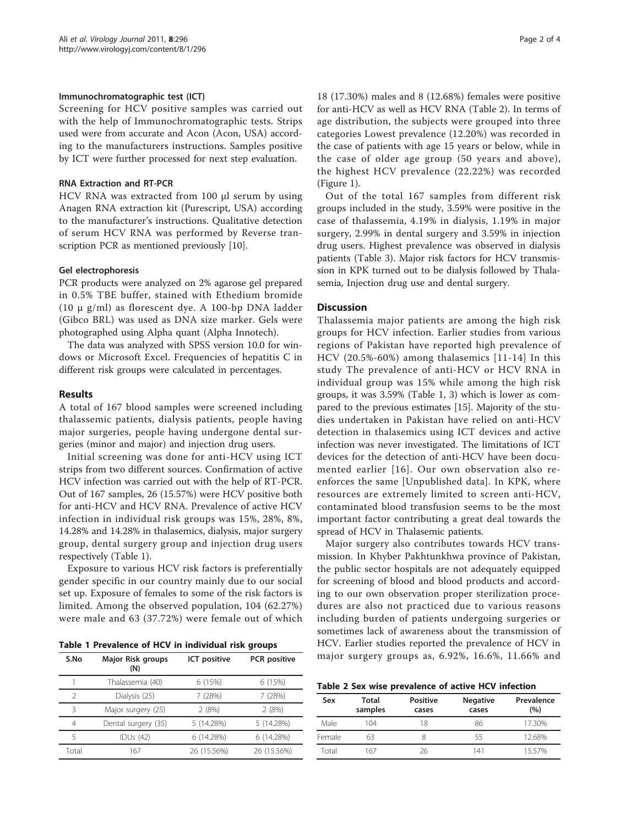## <span id="page-1-0"></span>Immunochromatographic test (ICT)

Screening for HCV positive samples was carried out with the help of Immunochromatographic tests. Strips used were from accurate and Acon (Acon, USA) according to the manufacturers instructions. Samples positive by ICT were further processed for next step evaluation.

### RNA Extraction and RT-PCR

HCV RNA was extracted from 100 μl serum by using Anagen RNA extraction kit (Purescript, USA) according to the manufacturer's instructions. Qualitative detection of serum HCV RNA was performed by Reverse transcription PCR as mentioned previously [[10\]](#page-3-0).

#### Gel electrophoresis

PCR products were analyzed on 2% agarose gel prepared in 0.5% TBE buffer, stained with Ethedium bromide (10 μ g/ml) as florescent dye. A 100-bp DNA ladder (Gibco BRL) was used as DNA size marker. Gels were photographed using Alpha quant (Alpha Innotech).

The data was analyzed with SPSS version 10.0 for windows or Microsoft Excel. Frequencies of hepatitis C in different risk groups were calculated in percentages.

#### Results

A total of 167 blood samples were screened including thalassemic patients, dialysis patients, people having major surgeries, people having undergone dental surgeries (minor and major) and injection drug users.

Initial screening was done for anti-HCV using ICT strips from two different sources. Confirmation of active HCV infection was carried out with the help of RT-PCR. Out of 167 samples, 26 (15.57%) were HCV positive both for anti-HCV and HCV RNA. Prevalence of active HCV infection in individual risk groups was 15%, 28%, 8%, 14.28% and 14.28% in thalasemics, dialysis, major surgery group, dental surgery group and injection drug users respectively (Table 1).

Exposure to various HCV risk factors is preferentially gender specific in our country mainly due to our social set up. Exposure of females to some of the risk factors is limited. Among the observed population, 104 (62.27%) were male and 63 (37.72%) were female out of which

Table 1 Prevalence of HCV in individual risk groups

| S.No          | <b>Major Risk groups</b><br>(N) | ICT positive | <b>PCR</b> positive |
|---------------|---------------------------------|--------------|---------------------|
|               | Thalassemia (40)                | 6 (15%)      | 6 (15%)             |
| $\mathcal{P}$ | Dialysis (25)                   | 7 (28%)      | 7(28%)              |
| ζ             | Major surgery (25)              | 2(8%)        | 2(8%)               |
| 4             | Dental surgery (35)             | 5 (14.28%)   | 5 (14.28%)          |
| 5             | <b>IDUs (42)</b>                | 6 (14.28%)   | 6 (14.28%)          |
| Total         | 167                             | 26 (15.56%)  | 26 (15.56%)         |

18 (17.30%) males and 8 (12.68%) females were positive for anti-HCV as well as HCV RNA (Table 2). In terms of age distribution, the subjects were grouped into three categories Lowest prevalence (12.20%) was recorded in the case of patients with age 15 years or below, while in the case of older age group (50 years and above), the highest HCV prevalence (22.22%) was recorded (Figure [1](#page-2-0)).

Out of the total 167 samples from different risk groups included in the study, 3.59% were positive in the case of thalassemia, 4.19% in dialysis, 1.19% in major surgery, 2.99% in dental surgery and 3.59% in injection drug users. Highest prevalence was observed in dialysis patients (Table [3\)](#page-2-0). Major risk factors for HCV transmission in KPK turned out to be dialysis followed by Thalasemia, Injection drug use and dental surgery.

#### **Discussion**

Thalassemia major patients are among the high risk groups for HCV infection. Earlier studies from various regions of Pakistan have reported high prevalence of HCV (20.5%-60%) among thalasemics [[11](#page-3-0)-[14\]](#page-3-0) In this study The prevalence of anti-HCV or HCV RNA in individual group was 15% while among the high risk groups, it was 3.59% (Table 1, [3\)](#page-2-0) which is lower as compared to the previous estimates [[15](#page-3-0)]. Majority of the studies undertaken in Pakistan have relied on anti-HCV detection in thalasemics using ICT devices and active infection was never investigated. The limitations of ICT devices for the detection of anti-HCV have been documented earlier [[16\]](#page-3-0). Our own observation also reenforces the same [Unpublished data]. In KPK, where resources are extremely limited to screen anti-HCV, contaminated blood transfusion seems to be the most important factor contributing a great deal towards the spread of HCV in Thalasemic patients.

Major surgery also contributes towards HCV transmission. In Khyber Pakhtunkhwa province of Pakistan, the public sector hospitals are not adequately equipped for screening of blood and blood products and according to our own observation proper sterilization procedures are also not practiced due to various reasons including burden of patients undergoing surgeries or sometimes lack of awareness about the transmission of HCV. Earlier studies reported the prevalence of HCV in major surgery groups as, 6.92%, 16.6%, 11.66% and

Table 2 Sex wise prevalence of active HCV infection

| Sex    | Total<br>samples | <b>Positive</b><br>cases | <b>Negative</b><br>cases | Prevalence<br>(9/0) |  |
|--------|------------------|--------------------------|--------------------------|---------------------|--|
| Male   | 104              | 18                       | 86                       | 17.30%              |  |
| Female | 63               |                          | 55                       | 12.68%              |  |
| Total  | 6/               | 26                       | 141                      | 1557%               |  |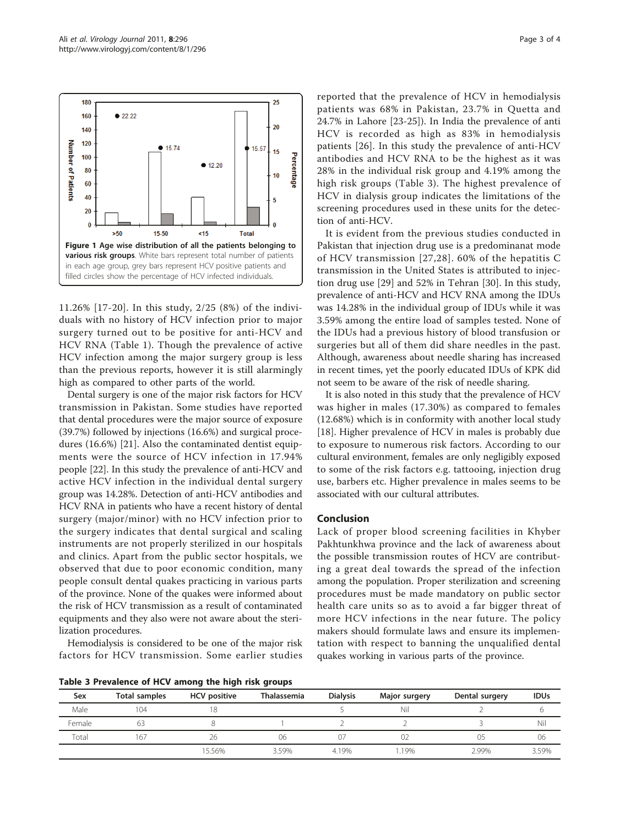<span id="page-2-0"></span>

11.26% [[17-20\]](#page-3-0). In this study, 2/25 (8%) of the individuals with no history of HCV infection prior to major surgery turned out to be positive for anti-HCV and HCV RNA (Table [1](#page-1-0)). Though the prevalence of active HCV infection among the major surgery group is less than the previous reports, however it is still alarmingly high as compared to other parts of the world.

Dental surgery is one of the major risk factors for HCV transmission in Pakistan. Some studies have reported that dental procedures were the major source of exposure (39.7%) followed by injections (16.6%) and surgical procedures (16.6%) [21]. Also the contaminated dentist equipments were the source of HCV infection in 17.94% people [\[22](#page-3-0)]. In this study the prevalence of anti-HCV and active HCV infection in the individual dental surgery group was 14.28%. Detection of anti-HCV antibodies and HCV RNA in patients who have a recent history of dental surgery (major/minor) with no HCV infection prior to the surgery indicates that dental surgical and scaling instruments are not properly sterilized in our hospitals and clinics. Apart from the public sector hospitals, we observed that due to poor economic condition, many people consult dental quakes practicing in various parts of the province. None of the quakes were informed about the risk of HCV transmission as a result of contaminated equipments and they also were not aware about the sterilization procedures.

Hemodialysis is considered to be one of the major risk factors for HCV transmission. Some earlier studies

Table 3 Prevalence of HCV among the high risk groups

reported that the prevalence of HCV in hemodialysis patients was 68% in Pakistan, 23.7% in Quetta and 24.7% in Lahore [[23-25\]](#page-3-0)). In India the prevalence of anti HCV is recorded as high as 83% in hemodialysis patients [[26\]](#page-3-0). In this study the prevalence of anti-HCV antibodies and HCV RNA to be the highest as it was 28% in the individual risk group and 4.19% among the high risk groups (Table 3). The highest prevalence of HCV in dialysis group indicates the limitations of the screening procedures used in these units for the detection of anti-HCV.

It is evident from the previous studies conducted in Pakistan that injection drug use is a predominanat mode of HCV transmission [[27,28](#page-3-0)]. 60% of the hepatitis C transmission in the United States is attributed to injection drug use [[29\]](#page-3-0) and 52% in Tehran [[30](#page-3-0)]. In this study, prevalence of anti-HCV and HCV RNA among the IDUs was 14.28% in the individual group of IDUs while it was 3.59% among the entire load of samples tested. None of the IDUs had a previous history of blood transfusion or surgeries but all of them did share needles in the past. Although, awareness about needle sharing has increased in recent times, yet the poorly educated IDUs of KPK did not seem to be aware of the risk of needle sharing.

It is also noted in this study that the prevalence of HCV was higher in males (17.30%) as compared to females (12.68%) which is in conformity with another local study [[18\]](#page-3-0). Higher prevalence of HCV in males is probably due to exposure to numerous risk factors. According to our cultural environment, females are only negligibly exposed to some of the risk factors e.g. tattooing, injection drug use, barbers etc. Higher prevalence in males seems to be associated with our cultural attributes.

# Conclusion

Lack of proper blood screening facilities in Khyber Pakhtunkhwa province and the lack of awareness about the possible transmission routes of HCV are contributing a great deal towards the spread of the infection among the population. Proper sterilization and screening procedures must be made mandatory on public sector health care units so as to avoid a far bigger threat of more HCV infections in the near future. The policy makers should formulate laws and ensure its implementation with respect to banning the unqualified dental quakes working in various parts of the province.

| Sex    | <b>Total samples</b> | <b>HCV</b> positive | <b>Thalassemia</b> | <b>Dialysis</b> | Major surgery | Dental surgery | <b>IDUs</b> |
|--------|----------------------|---------------------|--------------------|-----------------|---------------|----------------|-------------|
| Male   | 104                  |                     |                    |                 | Nil           |                |             |
| Female | 63                   |                     |                    |                 |               |                | Nil         |
| Total  | 167                  | 26                  | 06                 | 07              | UΖ            | 05             | 06          |
|        |                      | 15.56%              | 3.59%              | 4.19%           | .19%          | 2.99%          | 3.59%       |